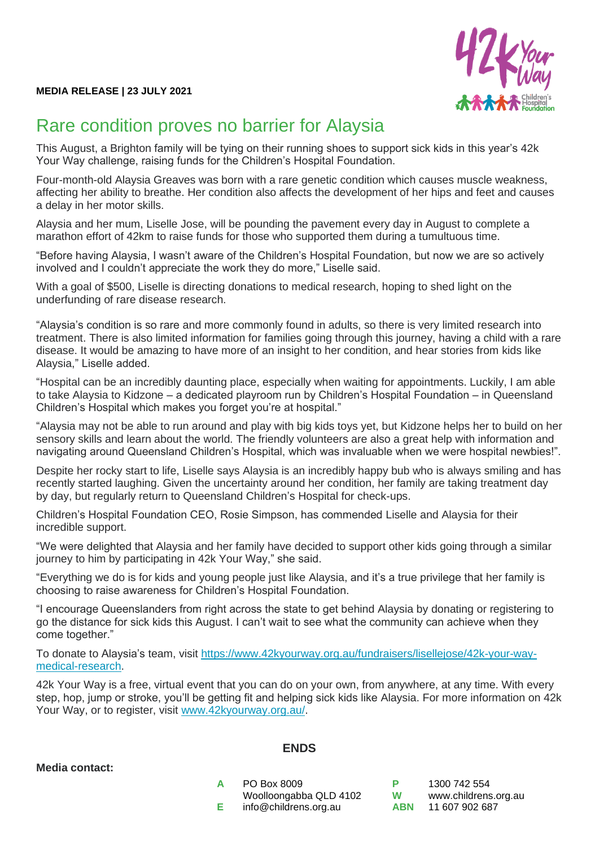

## Rare condition proves no barrier for Alaysia

This August, a Brighton family will be tying on their running shoes to support sick kids in this year's 42k Your Way challenge, raising funds for the Children's Hospital Foundation.

Four-month-old Alaysia Greaves was born with a rare genetic condition which causes muscle weakness, affecting her ability to breathe. Her condition also affects the development of her hips and feet and causes a delay in her motor skills.

Alaysia and her mum, Liselle Jose, will be pounding the pavement every day in August to complete a marathon effort of 42km to raise funds for those who supported them during a tumultuous time.

"Before having Alaysia, I wasn't aware of the Children's Hospital Foundation, but now we are so actively involved and I couldn't appreciate the work they do more," Liselle said.

With a goal of \$500, Liselle is directing donations to medical research, hoping to shed light on the underfunding of rare disease research.

"Alaysia's condition is so rare and more commonly found in adults, so there is very limited research into treatment. There is also limited information for families going through this journey, having a child with a rare disease. It would be amazing to have more of an insight to her condition, and hear stories from kids like Alaysia," Liselle added.

"Hospital can be an incredibly daunting place, especially when waiting for appointments. Luckily, I am able to take Alaysia to Kidzone – a dedicated playroom run by Children's Hospital Foundation – in Queensland Children's Hospital which makes you forget you're at hospital."

"Alaysia may not be able to run around and play with big kids toys yet, but Kidzone helps her to build on her sensory skills and learn about the world. The friendly volunteers are also a great help with information and navigating around Queensland Children's Hospital, which was invaluable when we were hospital newbies!".

Despite her rocky start to life, Liselle says Alaysia is an incredibly happy bub who is always smiling and has recently started laughing. Given the uncertainty around her condition, her family are taking treatment day by day, but regularly return to Queensland Children's Hospital for check-ups.

Children's Hospital Foundation CEO, Rosie Simpson, has commended Liselle and Alaysia for their incredible support.

"We were delighted that Alaysia and her family have decided to support other kids going through a similar journey to him by participating in 42k Your Way," she said.

"Everything we do is for kids and young people just like Alaysia, and it's a true privilege that her family is choosing to raise awareness for Children's Hospital Foundation.

"I encourage Queenslanders from right across the state to get behind Alaysia by donating or registering to go the distance for sick kids this August. I can't wait to see what the community can achieve when they come together."

To donate to Alaysia's team, visit [https://www.42kyourway.org.au/fundraisers/lisellejose/42k-your-way](https://www.42kyourway.org.au/fundraisers/lisellejose/42k-your-way-medical-research)[medical-research.](https://www.42kyourway.org.au/fundraisers/lisellejose/42k-your-way-medical-research)

42k Your Way is a free, virtual event that you can do on your own, from anywhere, at any time. With every step, hop, jump or stroke, you'll be getting fit and helping sick kids like Alaysia. For more information on 42k Your Way, or to register, visit [www.42kyourway.org.au/.](http://www.42kyourway.org.au/)

## **Media contact:**

## **ENDS**

**A** PO Box 8009 Woolloongabba QLD 4102 **E** info@childrens.org.au

**P** 1300 742 554 **W** [www.childrens.org.au](http://www.childrens.org.au/) **ABN** 11 607 902 687